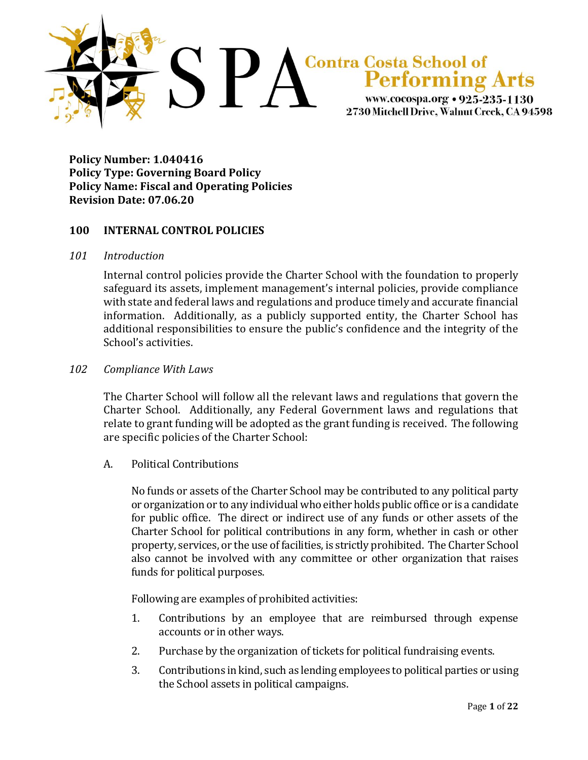

**Policy Number: 1.040416 Policy Type: Governing Board Policy Policy Name: Fiscal and Operating Policies Revision Date: 07.06.20**

### **100 INTERNAL CONTROL POLICIES**

#### *101 Introduction*

Internal control policies provide the Charter School with the foundation to properly safeguard its assets, implement management's internal policies, provide compliance with state and federal laws and regulations and produce timely and accurate financial information. Additionally, as a publicly supported entity, the Charter School has additional responsibilities to ensure the public's confidence and the integrity of the School's activities.

#### *102 Compliance With Laws*

The Charter School will follow all the relevant laws and regulations that govern the Charter School. Additionally, any Federal Government laws and regulations that relate to grant funding will be adopted as the grant funding is received. The following are specific policies of the Charter School:

A. Political Contributions

No funds or assets of the Charter School may be contributed to any political party or organization or to any individual who either holds public office or is a candidate for public office. The direct or indirect use of any funds or other assets of the Charter School for political contributions in any form, whether in cash or other property, services, or the use of facilities, is strictly prohibited. The Charter School also cannot be involved with any committee or other organization that raises funds for political purposes.

Following are examples of prohibited activities:

- 1. Contributions by an employee that are reimbursed through expense accounts or in other ways.
- 2. Purchase by the organization of tickets for political fundraising events.
- 3. Contributions in kind, such as lending employees to political parties or using the School assets in political campaigns.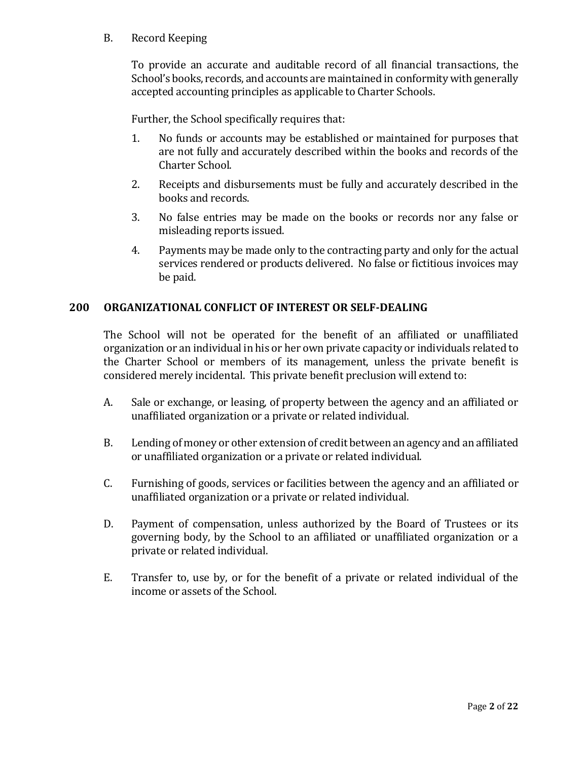# B. Record Keeping

To provide an accurate and auditable record of all financial transactions, the School's books, records, and accounts are maintained in conformity with generally accepted accounting principles as applicable to Charter Schools.

Further, the School specifically requires that:

- 1. No funds or accounts may be established or maintained for purposes that are not fully and accurately described within the books and records of the Charter School.
- 2. Receipts and disbursements must be fully and accurately described in the books and records.
- 3. No false entries may be made on the books or records nor any false or misleading reports issued.
- 4. Payments may be made only to the contracting party and only for the actual services rendered or products delivered. No false or fictitious invoices may be paid.

### **200 ORGANIZATIONAL CONFLICT OF INTEREST OR SELF-DEALING**

The School will not be operated for the benefit of an affiliated or unaffiliated organization or an individual in his or her own private capacity or individuals related to the Charter School or members of its management, unless the private benefit is considered merely incidental. This private benefit preclusion will extend to:

- A. Sale or exchange, or leasing, of property between the agency and an affiliated or unaffiliated organization or a private or related individual.
- B. Lending of money or other extension of credit between an agency and an affiliated or unaffiliated organization or a private or related individual.
- C. Furnishing of goods, services or facilities between the agency and an affiliated or unaffiliated organization or a private or related individual.
- D. Payment of compensation, unless authorized by the Board of Trustees or its governing body, by the School to an affiliated or unaffiliated organization or a private or related individual.
- E. Transfer to, use by, or for the benefit of a private or related individual of the income or assets of the School.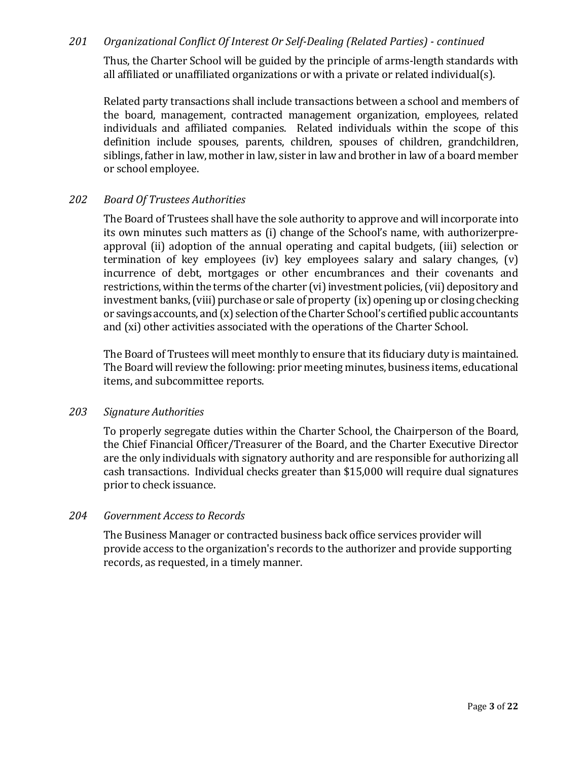# *201 Organizational Conflict Of Interest Or Self-Dealing (Related Parties) - continued*

Thus, the Charter School will be guided by the principle of arms-length standards with all affiliated or unaffiliated organizations or with a private or related individual(s).

Related party transactions shall include transactions between a school and members of the board, management, contracted management organization, employees, related individuals and affiliated companies. Related individuals within the scope of this definition include spouses, parents, children, spouses of children, grandchildren, siblings, father in law, mother in law, sister in law and brother in law of a board member or school employee.

# *202 Board Of Trustees Authorities*

The Board of Trustees shall have the sole authority to approve and will incorporate into its own minutes such matters as (i) change of the School's name, with authorizerpreapproval (ii) adoption of the annual operating and capital budgets, (iii) selection or termination of key employees (iv) key employees salary and salary changes, (v) incurrence of debt, mortgages or other encumbrances and their covenants and restrictions, within the terms of the charter (vi) investment policies, (vii) depository and investment banks, (viii) purchase or sale of property (ix) opening up or closing checking or savings accounts, and (x) selection of the Charter School's certified public accountants and (xi) other activities associated with the operations of the Charter School.

The Board of Trustees will meet monthly to ensure that its fiduciary duty is maintained. The Board will review the following: prior meeting minutes, business items, educational items, and subcommittee reports.

### *203 Signature Authorities*

To properly segregate duties within the Charter School, the Chairperson of the Board, the Chief Financial Officer/Treasurer of the Board, and the Charter Executive Director are the only individuals with signatory authority and are responsible for authorizing all cash transactions. Individual checks greater than \$15,000 will require dual signatures prior to check issuance.

### *204 Government Access to Records*

The Business Manager or contracted business back office services provider will provide access to the organization's records to the authorizer and provide supporting records, as requested, in a timely manner.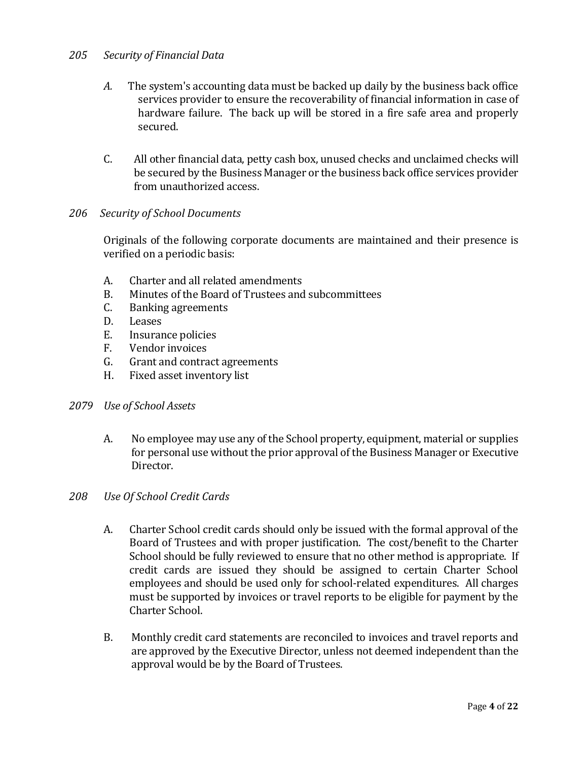## *205 Security of Financial Data*

- *A.* The system's accounting data must be backed up daily by the business back office services provider to ensure the recoverability of financial information in case of hardware failure. The back up will be stored in a fire safe area and properly secured.
- C. All other financial data, petty cash box, unused checks and unclaimed checks will be secured by the Business Manager or the business back office services provider from unauthorized access.

# *206 Security of School Documents*

Originals of the following corporate documents are maintained and their presence is verified on a periodic basis:

- A. Charter and all related amendments
- B. Minutes of the Board of Trustees and subcommittees
- C. Banking agreements
- D. Leases
- E. Insurance policies
- F. Vendor invoices
- G. Grant and contract agreements
- H. Fixed asset inventory list
- *2079 Use of School Assets*
	- A. No employee may use any of the School property, equipment, material or supplies for personal use without the prior approval of the Business Manager or Executive Director.
- *208 Use Of School Credit Cards*
	- A. Charter School credit cards should only be issued with the formal approval of the Board of Trustees and with proper justification. The cost/benefit to the Charter School should be fully reviewed to ensure that no other method is appropriate. If credit cards are issued they should be assigned to certain Charter School employees and should be used only for school-related expenditures. All charges must be supported by invoices or travel reports to be eligible for payment by the Charter School.
	- B. Monthly credit card statements are reconciled to invoices and travel reports and are approved by the Executive Director, unless not deemed independent than the approval would be by the Board of Trustees.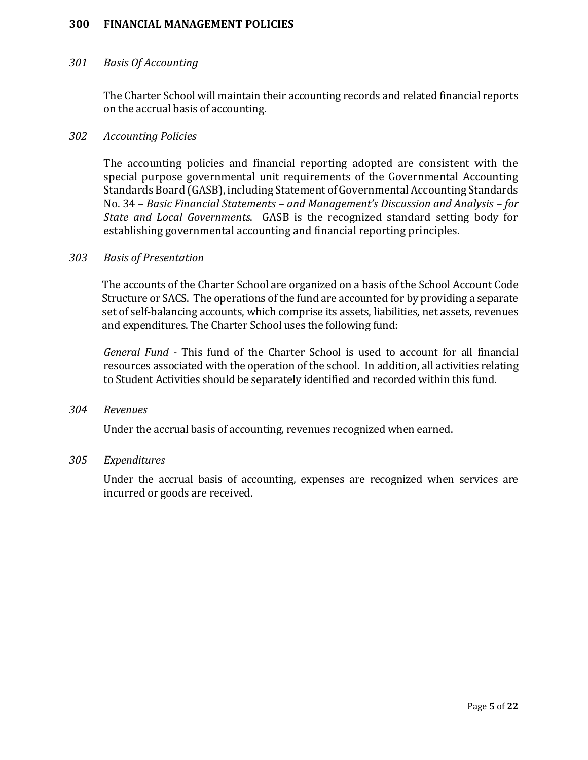#### **300 FINANCIAL MANAGEMENT POLICIES**

#### *301 Basis Of Accounting*

The Charter School will maintain their accounting records and related financial reports on the accrual basis of accounting.

#### *302 Accounting Policies*

The accounting policies and financial reporting adopted are consistent with the special purpose governmental unit requirements of the Governmental Accounting Standards Board (GASB), including Statement of Governmental Accounting Standards No. 34 – *Basic Financial Statements – and Management's Discussion and Analysis – for State and Local Governments*. GASB is the recognized standard setting body for establishing governmental accounting and financial reporting principles.

#### *303 Basis of Presentation*

The accounts of the Charter School are organized on a basis of the School Account Code Structure or SACS. The operations of the fund are accounted for by providing a separate set of self-balancing accounts, which comprise its assets, liabilities, net assets, revenues and expenditures. The Charter School uses the following fund:

*General Fund* - This fund of the Charter School is used to account for all financial resources associated with the operation of the school. In addition, all activities relating to Student Activities should be separately identified and recorded within this fund.

#### *304 Revenues*

Under the accrual basis of accounting, revenues recognized when earned.

#### *305 Expenditures*

Under the accrual basis of accounting, expenses are recognized when services are incurred or goods are received.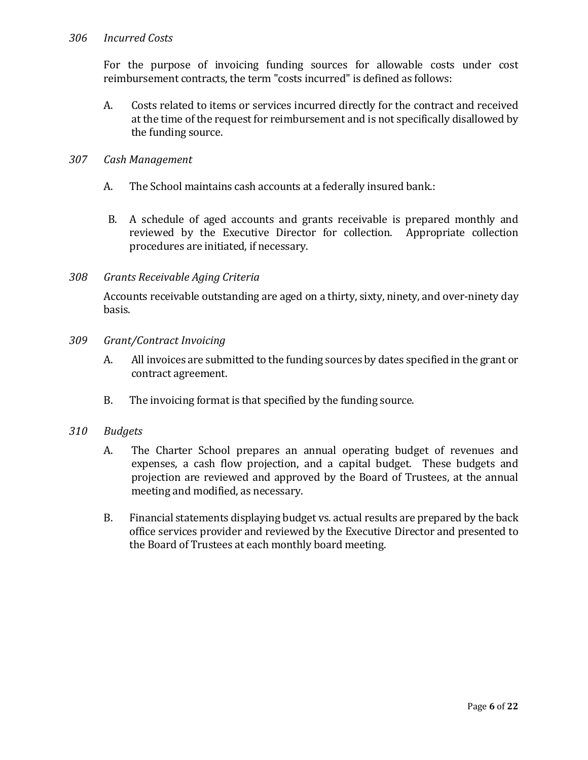### *306 Incurred Costs*

For the purpose of invoicing funding sources for allowable costs under cost reimbursement contracts, the term "costs incurred" is defined as follows:

A. Costs related to items or services incurred directly for the contract and received at the time of the request for reimbursement and is not specifically disallowed by the funding source.

#### *307 Cash Management*

- A. The School maintains cash accounts at a federally insured bank.:
- B. A schedule of aged accounts and grants receivable is prepared monthly and reviewed by the Executive Director for collection. Appropriate collection procedures are initiated, if necessary.
- *308 Grants Receivable Aging Criteria*

Accounts receivable outstanding are aged on a thirty, sixty, ninety, and over-ninety day basis.

- *309 Grant/Contract Invoicing*
	- A. All invoices are submitted to the funding sources by dates specified in the grant or contract agreement.
	- B. The invoicing format is that specified by the funding source.

#### *310 Budgets*

- A. The Charter School prepares an annual operating budget of revenues and expenses, a cash flow projection, and a capital budget. These budgets and projection are reviewed and approved by the Board of Trustees, at the annual meeting and modified, as necessary.
- B. Financial statements displaying budget vs. actual results are prepared by the back office services provider and reviewed by the Executive Director and presented to the Board of Trustees at each monthly board meeting.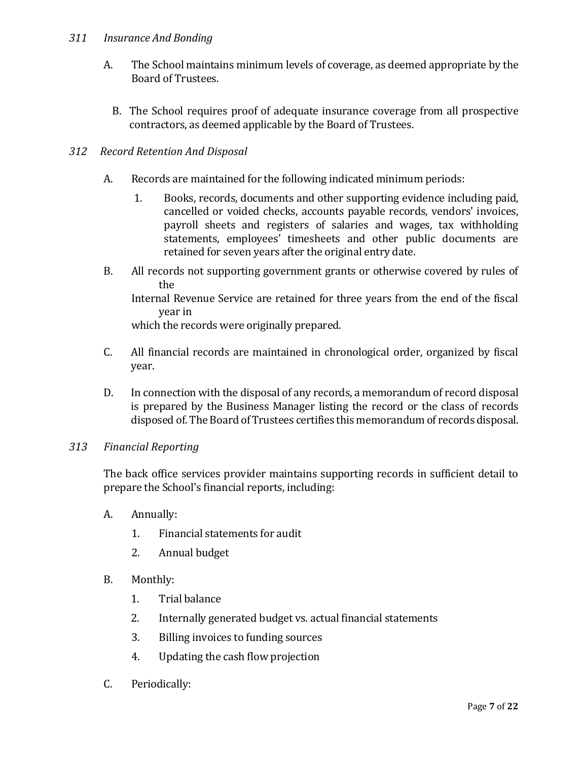# *311 Insurance And Bonding*

- A. The School maintains minimum levels of coverage, as deemed appropriate by the Board of Trustees.
	- B. The School requires proof of adequate insurance coverage from all prospective contractors, as deemed applicable by the Board of Trustees.

# *312 Record Retention And Disposal*

- A. Records are maintained for the following indicated minimum periods:
	- 1. Books, records, documents and other supporting evidence including paid, cancelled or voided checks, accounts payable records, vendors' invoices, payroll sheets and registers of salaries and wages, tax withholding statements, employees' timesheets and other public documents are retained for seven years after the original entry date.
- B. All records not supporting government grants or otherwise covered by rules of the

Internal Revenue Service are retained for three years from the end of the fiscal year in

which the records were originally prepared.

- C. All financial records are maintained in chronological order, organized by fiscal year.
- D. In connection with the disposal of any records, a memorandum of record disposal is prepared by the Business Manager listing the record or the class of records disposed of. The Board of Trustees certifies this memorandum of records disposal.

### *313 Financial Reporting*

The back office services provider maintains supporting records in sufficient detail to prepare the School's financial reports, including:

- A. Annually:
	- 1. Financial statements for audit
	- 2. Annual budget
- B. Monthly:
	- 1. Trial balance
	- 2. Internally generated budget vs. actual financial statements
	- 3. Billing invoices to funding sources
	- 4. Updating the cash flow projection
- C. Periodically: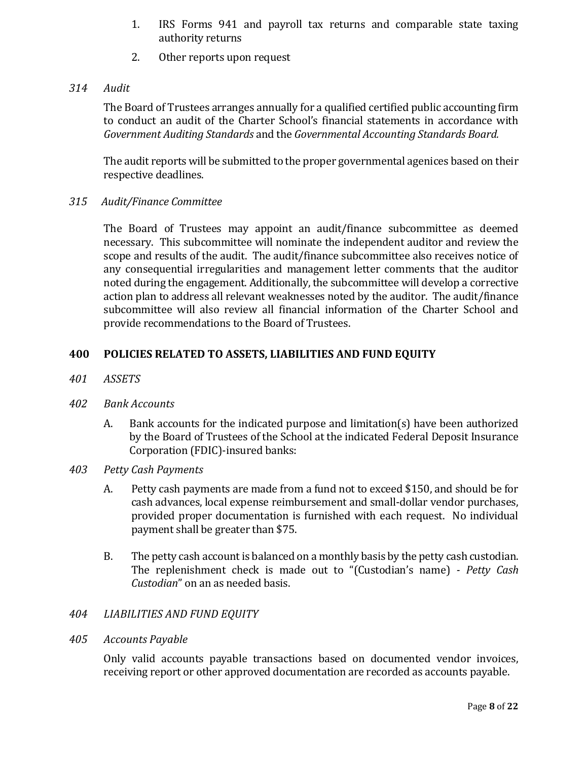- 1. IRS Forms 941 and payroll tax returns and comparable state taxing authority returns
- 2. Other reports upon request

# *314 Audit*

The Board of Trustees arranges annually for a qualified certified public accounting firm to conduct an audit of the Charter School's financial statements in accordance with *Government Auditing Standards* and the *Governmental Accounting Standards Board.*

The audit reports will be submitted to the proper governmental agenices based on their respective deadlines.

*315 Audit/Finance Committee*

The Board of Trustees may appoint an audit/finance subcommittee as deemed necessary. This subcommittee will nominate the independent auditor and review the scope and results of the audit. The audit/finance subcommittee also receives notice of any consequential irregularities and management letter comments that the auditor noted during the engagement. Additionally, the subcommittee will develop a corrective action plan to address all relevant weaknesses noted by the auditor. The audit/finance subcommittee will also review all financial information of the Charter School and provide recommendations to the Board of Trustees.

# **400 POLICIES RELATED TO ASSETS, LIABILITIES AND FUND EQUITY**

- *401 ASSETS*
- *402 Bank Accounts*
	- A. Bank accounts for the indicated purpose and limitation(s) have been authorized by the Board of Trustees of the School at the indicated Federal Deposit Insurance Corporation (FDIC)-insured banks:
- *403 Petty Cash Payments*
	- A. Petty cash payments are made from a fund not to exceed \$150, and should be for cash advances, local expense reimbursement and small-dollar vendor purchases, provided proper documentation is furnished with each request. No individual payment shall be greater than \$75.
	- B. The petty cash account is balanced on a monthly basis by the petty cash custodian. The replenishment check is made out to "(Custodian's name) *- Petty Cash Custodian*" on an as needed basis.

## *404 LIABILITIES AND FUND EQUITY*

*405 Accounts Payable*

Only valid accounts payable transactions based on documented vendor invoices, receiving report or other approved documentation are recorded as accounts payable.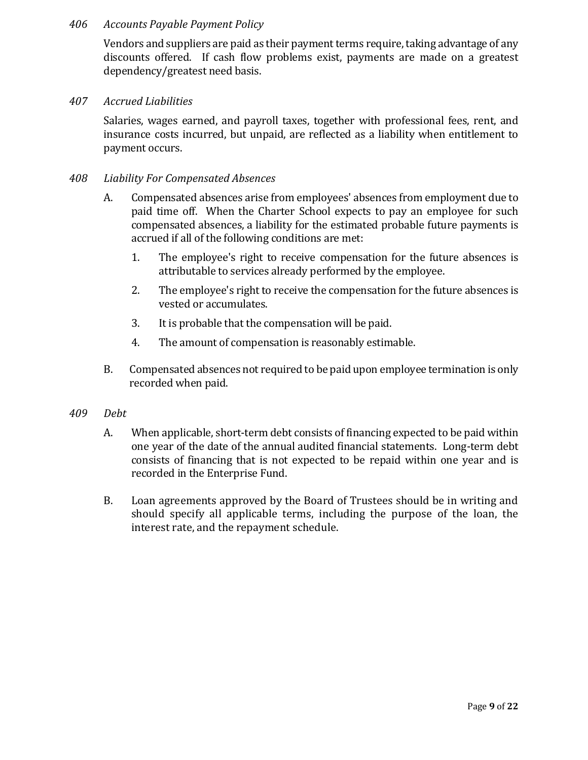## *406 Accounts Payable Payment Policy*

Vendors and suppliers are paid as their payment terms require, taking advantage of any discounts offered. If cash flow problems exist, payments are made on a greatest dependency/greatest need basis.

## *407 Accrued Liabilities*

Salaries, wages earned, and payroll taxes, together with professional fees, rent, and insurance costs incurred, but unpaid, are reflected as a liability when entitlement to payment occurs.

# *408 Liability For Compensated Absences*

- A. Compensated absences arise from employees' absences from employment due to paid time off. When the Charter School expects to pay an employee for such compensated absences, a liability for the estimated probable future payments is accrued if all of the following conditions are met:
	- 1. The employee's right to receive compensation for the future absences is attributable to services already performed by the employee.
	- 2. The employee's right to receive the compensation for the future absences is vested or accumulates.
	- 3. It is probable that the compensation will be paid.
	- 4. The amount of compensation is reasonably estimable.
- B. Compensated absences not required to be paid upon employee termination is only recorded when paid.

### *409 Debt*

- A. When applicable, short-term debt consists of financing expected to be paid within one year of the date of the annual audited financial statements. Long-term debt consists of financing that is not expected to be repaid within one year and is recorded in the Enterprise Fund.
- B. Loan agreements approved by the Board of Trustees should be in writing and should specify all applicable terms, including the purpose of the loan, the interest rate, and the repayment schedule.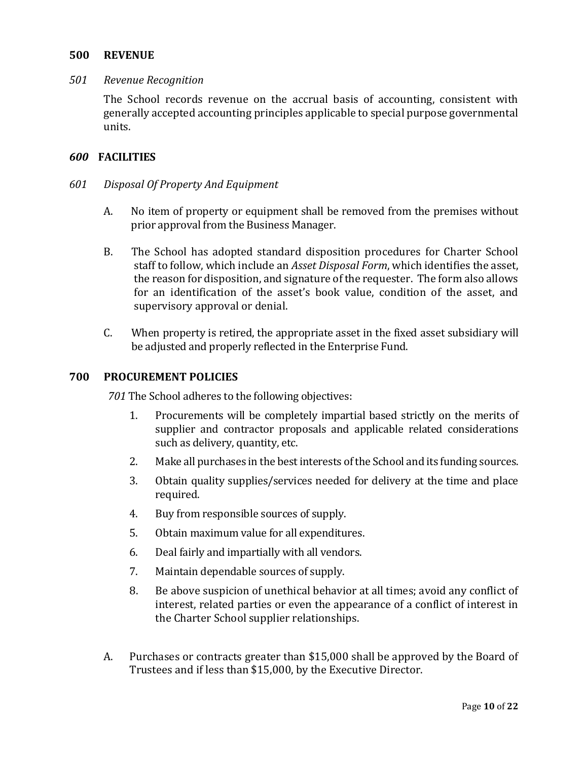#### **500 REVENUE**

#### *501 Revenue Recognition*

The School records revenue on the accrual basis of accounting, consistent with generally accepted accounting principles applicable to special purpose governmental units.

#### *600* **FACILITIES**

#### *601 Disposal Of Property And Equipment*

- A. No item of property or equipment shall be removed from the premises without prior approval from the Business Manager.
- B. The School has adopted standard disposition procedures for Charter School staff to follow, which include an *Asset Disposal Form*, which identifies the asset, the reason for disposition, and signature of the requester. The form also allows for an identification of the asset's book value, condition of the asset, and supervisory approval or denial.
- C. When property is retired, the appropriate asset in the fixed asset subsidiary will be adjusted and properly reflected in the Enterprise Fund.

#### **700 PROCUREMENT POLICIES**

*701* The School adheres to the following objectives:

- 1. Procurements will be completely impartial based strictly on the merits of supplier and contractor proposals and applicable related considerations such as delivery, quantity, etc.
- 2. Make all purchases in the best interests of the School and its funding sources.
- 3. Obtain quality supplies/services needed for delivery at the time and place required.
- 4. Buy from responsible sources of supply.
- 5. Obtain maximum value for all expenditures.
- 6. Deal fairly and impartially with all vendors.
- 7. Maintain dependable sources of supply.
- 8. Be above suspicion of unethical behavior at all times; avoid any conflict of interest, related parties or even the appearance of a conflict of interest in the Charter School supplier relationships.
- A. Purchases or contracts greater than \$15,000 shall be approved by the Board of Trustees and if less than \$15,000, by the Executive Director.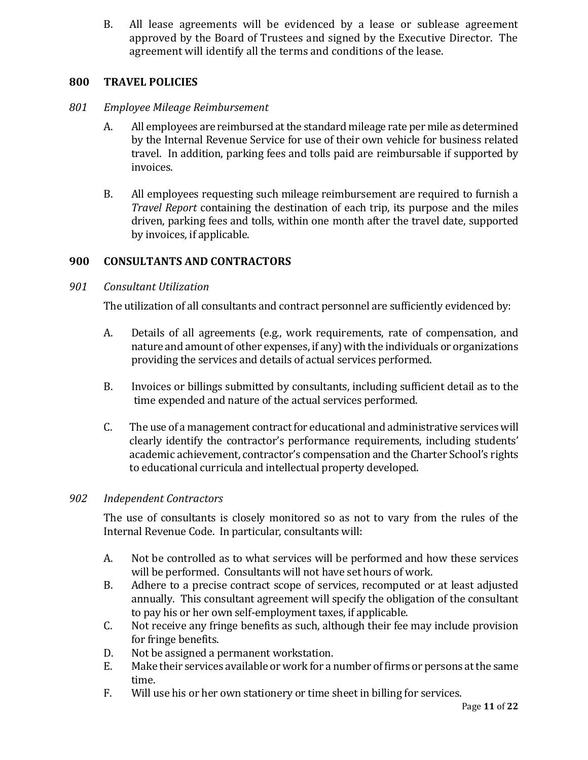B. All lease agreements will be evidenced by a lease or sublease agreement approved by the Board of Trustees and signed by the Executive Director. The agreement will identify all the terms and conditions of the lease.

# **800 TRAVEL POLICIES**

## *801 Employee Mileage Reimbursement*

- A. All employees are reimbursed at the standard mileage rate per mile as determined by the Internal Revenue Service for use of their own vehicle for business related travel. In addition, parking fees and tolls paid are reimbursable if supported by invoices.
- B. All employees requesting such mileage reimbursement are required to furnish a *Travel Report* containing the destination of each trip, its purpose and the miles driven, parking fees and tolls, within one month after the travel date, supported by invoices, if applicable.

# **900 CONSULTANTS AND CONTRACTORS**

### *901 Consultant Utilization*

The utilization of all consultants and contract personnel are sufficiently evidenced by:

- A. Details of all agreements (e.g., work requirements, rate of compensation, and nature and amount of other expenses, if any) with the individuals or organizations providing the services and details of actual services performed.
- B. Invoices or billings submitted by consultants, including sufficient detail as to the time expended and nature of the actual services performed.
- C. The use of a management contract for educational and administrative services will clearly identify the contractor's performance requirements, including students' academic achievement, contractor's compensation and the Charter School's rights to educational curricula and intellectual property developed.

### *902 Independent Contractors*

The use of consultants is closely monitored so as not to vary from the rules of the Internal Revenue Code. In particular, consultants will:

- A. Not be controlled as to what services will be performed and how these services will be performed. Consultants will not have set hours of work.
- B. Adhere to a precise contract scope of services, recomputed or at least adjusted annually. This consultant agreement will specify the obligation of the consultant to pay his or her own self-employment taxes, if applicable.
- C. Not receive any fringe benefits as such, although their fee may include provision for fringe benefits.
- D. Not be assigned a permanent workstation.
- E. Make their services available or work for a number of firms or persons at the same time.
- F. Will use his or her own stationery or time sheet in billing for services.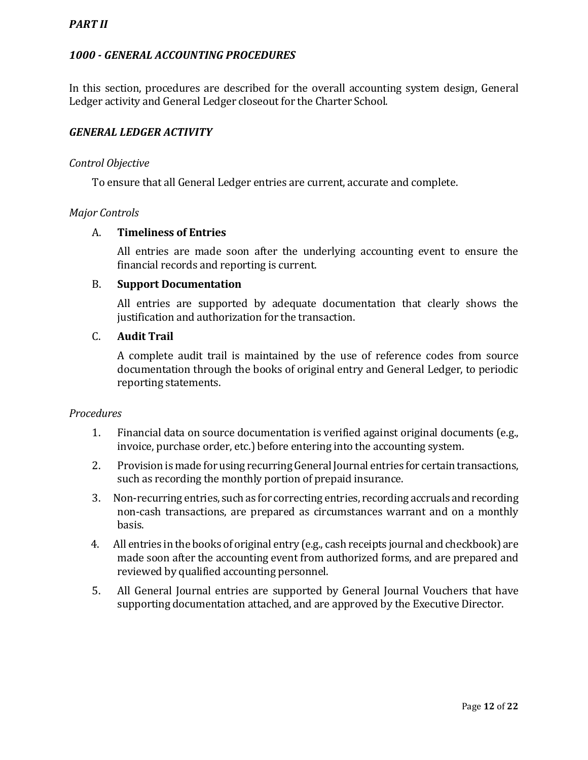# *1000 - GENERAL ACCOUNTING PROCEDURES*

In this section, procedures are described for the overall accounting system design, General Ledger activity and General Ledger closeout for the Charter School.

# *GENERAL LEDGER ACTIVITY*

#### *Control Objective*

To ensure that all General Ledger entries are current, accurate and complete.

#### *Major Controls*

#### A. **Timeliness of Entries**

All entries are made soon after the underlying accounting event to ensure the financial records and reporting is current.

#### B. **Support Documentation**

All entries are supported by adequate documentation that clearly shows the justification and authorization for the transaction.

### C. **Audit Trail**

A complete audit trail is maintained by the use of reference codes from source documentation through the books of original entry and General Ledger, to periodic reporting statements.

#### *Procedures*

- 1. Financial data on source documentation is verified against original documents (e.g., invoice, purchase order, etc.) before entering into the accounting system.
- 2. Provision is made for using recurring General Journal entries for certain transactions, such as recording the monthly portion of prepaid insurance.
- 3. Non-recurring entries, such as for correcting entries, recording accruals and recording non-cash transactions, are prepared as circumstances warrant and on a monthly basis.
- 4. All entries in the books of original entry (e.g., cash receipts journal and checkbook) are made soon after the accounting event from authorized forms, and are prepared and reviewed by qualified accounting personnel.
- 5. All General Journal entries are supported by General Journal Vouchers that have supporting documentation attached, and are approved by the Executive Director.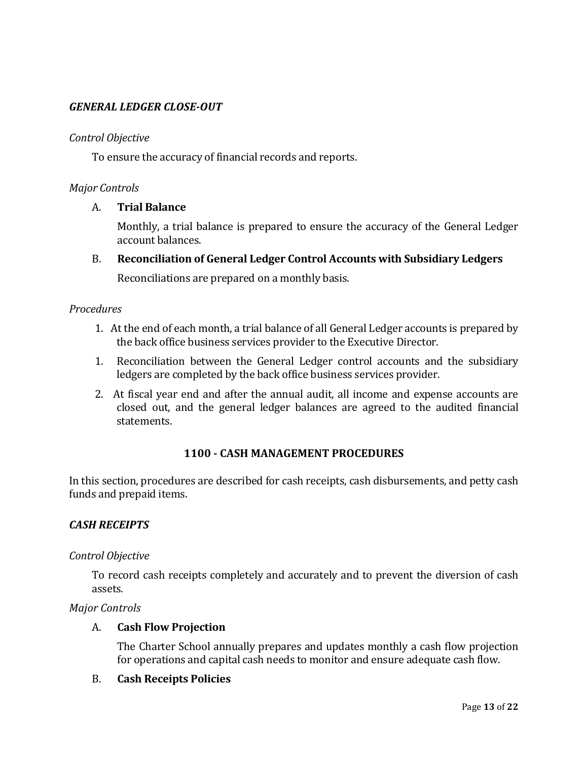# *GENERAL LEDGER CLOSE-OUT*

#### *Control Objective*

To ensure the accuracy of financial records and reports.

### *Major Controls*

#### A. **Trial Balance**

Monthly, a trial balance is prepared to ensure the accuracy of the General Ledger account balances.

# B. **Reconciliation of General Ledger Control Accounts with Subsidiary Ledgers**

Reconciliations are prepared on a monthly basis.

#### *Procedures*

- 1. At the end of each month, a trial balance of all General Ledger accounts is prepared by the back office business services provider to the Executive Director.
- 1. Reconciliation between the General Ledger control accounts and the subsidiary ledgers are completed by the back office business services provider.
- 2. At fiscal year end and after the annual audit, all income and expense accounts are closed out, and the general ledger balances are agreed to the audited financial statements.

### **1100 - CASH MANAGEMENT PROCEDURES**

In this section, procedures are described for cash receipts, cash disbursements, and petty cash funds and prepaid items.

### *CASH RECEIPTS*

#### *Control Objective*

To record cash receipts completely and accurately and to prevent the diversion of cash assets.

#### *Major Controls*

### A. **Cash Flow Projection**

The Charter School annually prepares and updates monthly a cash flow projection for operations and capital cash needs to monitor and ensure adequate cash flow.

#### B. **Cash Receipts Policies**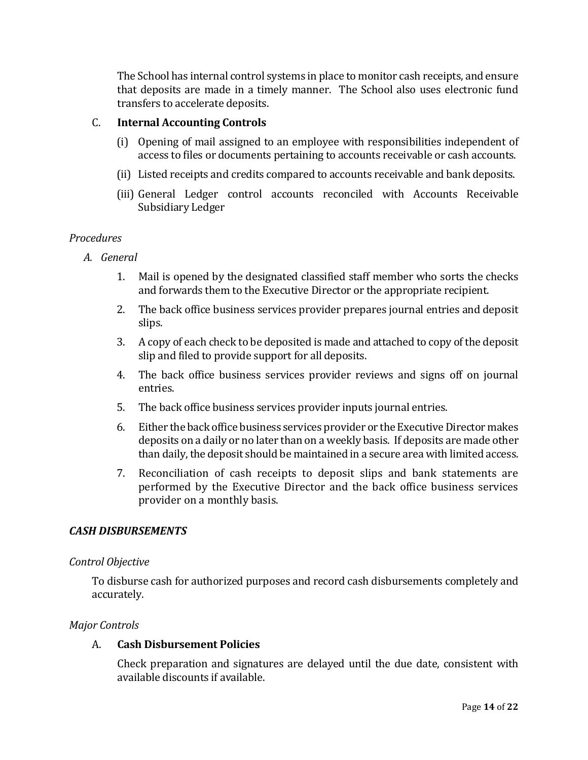The School has internal control systems in place to monitor cash receipts, and ensure that deposits are made in a timely manner. The School also uses electronic fund transfers to accelerate deposits.

# C. **Internal Accounting Controls**

- (i) Opening of mail assigned to an employee with responsibilities independent of access to files or documents pertaining to accounts receivable or cash accounts.
- (ii) Listed receipts and credits compared to accounts receivable and bank deposits.
- (iii) General Ledger control accounts reconciled with Accounts Receivable Subsidiary Ledger

### *Procedures*

- *A. General*
	- 1. Mail is opened by the designated classified staff member who sorts the checks and forwards them to the Executive Director or the appropriate recipient.
	- 2. The back office business services provider prepares journal entries and deposit slips.
	- 3. A copy of each check to be deposited is made and attached to copy of the deposit slip and filed to provide support for all deposits.
	- 4. The back office business services provider reviews and signs off on journal entries.
	- 5. The back office business services provider inputs journal entries.
	- 6. Either the back office business services provider or the Executive Director makes deposits on a daily or no later than on a weekly basis. If deposits are made other than daily, the deposit should be maintained in a secure area with limited access.
	- 7. Reconciliation of cash receipts to deposit slips and bank statements are performed by the Executive Director and the back office business services provider on a monthly basis.

### *CASH DISBURSEMENTS*

#### *Control Objective*

To disburse cash for authorized purposes and record cash disbursements completely and accurately.

### *Major Controls*

### A. **Cash Disbursement Policies**

Check preparation and signatures are delayed until the due date, consistent with available discounts if available.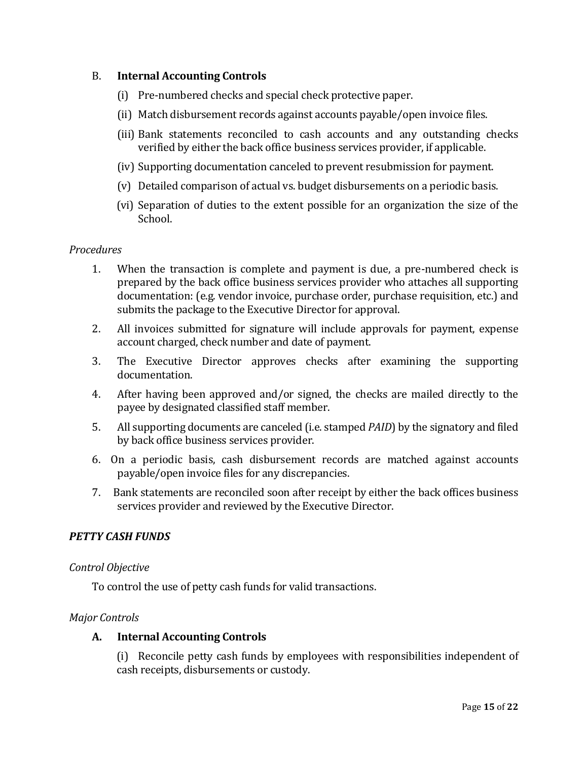# B. **Internal Accounting Controls**

- (i) Pre-numbered checks and special check protective paper.
- (ii) Match disbursement records against accounts payable/open invoice files.
- (iii) Bank statements reconciled to cash accounts and any outstanding checks verified by either the back office business services provider, if applicable.
- (iv) Supporting documentation canceled to prevent resubmission for payment.
- (v) Detailed comparison of actual vs. budget disbursements on a periodic basis.
- (vi) Separation of duties to the extent possible for an organization the size of the School.

### *Procedures*

- 1. When the transaction is complete and payment is due, a pre-numbered check is prepared by the back office business services provider who attaches all supporting documentation: (e.g. vendor invoice, purchase order, purchase requisition, etc.) and submits the package to the Executive Director for approval.
- 2. All invoices submitted for signature will include approvals for payment, expense account charged, check number and date of payment.
- 3. The Executive Director approves checks after examining the supporting documentation.
- 4. After having been approved and/or signed, the checks are mailed directly to the payee by designated classified staff member.
- 5. All supporting documents are canceled (i.e. stamped *PAID*) by the signatory and filed by back office business services provider.
- 6. On a periodic basis, cash disbursement records are matched against accounts payable/open invoice files for any discrepancies.
- 7. Bank statements are reconciled soon after receipt by either the back offices business services provider and reviewed by the Executive Director.

### *PETTY CASH FUNDS*

### *Control Objective*

To control the use of petty cash funds for valid transactions.

### *Major Controls*

### **A. Internal Accounting Controls**

(i) Reconcile petty cash funds by employees with responsibilities independent of cash receipts, disbursements or custody.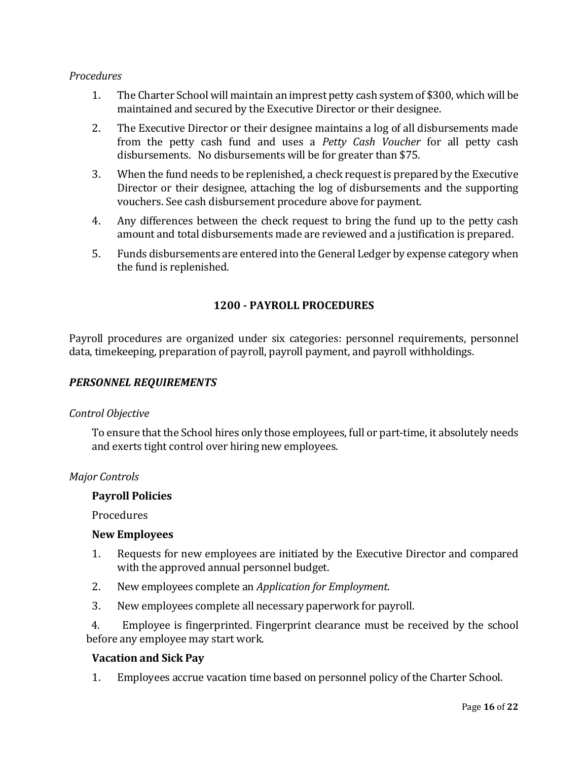### *Procedures*

- 1. The Charter School will maintain an imprest petty cash system of \$300, which will be maintained and secured by the Executive Director or their designee.
- 2. The Executive Director or their designee maintains a log of all disbursements made from the petty cash fund and uses a *Petty Cash Voucher* for all petty cash disbursements. No disbursements will be for greater than \$75.
- 3. When the fund needs to be replenished, a check request is prepared by the Executive Director or their designee, attaching the log of disbursements and the supporting vouchers. See cash disbursement procedure above for payment.
- 4. Any differences between the check request to bring the fund up to the petty cash amount and total disbursements made are reviewed and a justification is prepared.
- 5. Funds disbursements are entered into the General Ledger by expense category when the fund is replenished.

# **1200 - PAYROLL PROCEDURES**

Payroll procedures are organized under six categories: personnel requirements, personnel data, timekeeping, preparation of payroll, payroll payment, and payroll withholdings.

### *PERSONNEL REQUIREMENTS*

#### *Control Objective*

To ensure that the School hires only those employees, full or part-time, it absolutely needs and exerts tight control over hiring new employees.

#### *Major Controls*

#### **Payroll Policies**

Procedures

#### **New Employees**

- 1. Requests for new employees are initiated by the Executive Director and compared with the approved annual personnel budget.
- 2. New employees complete an *Application for Employment*.
- 3. New employees complete all necessary paperwork for payroll.

 4. Employee is fingerprinted. Fingerprint clearance must be received by the school before any employee may start work.

### **Vacation and Sick Pay**

1. Employees accrue vacation time based on personnel policy of the Charter School.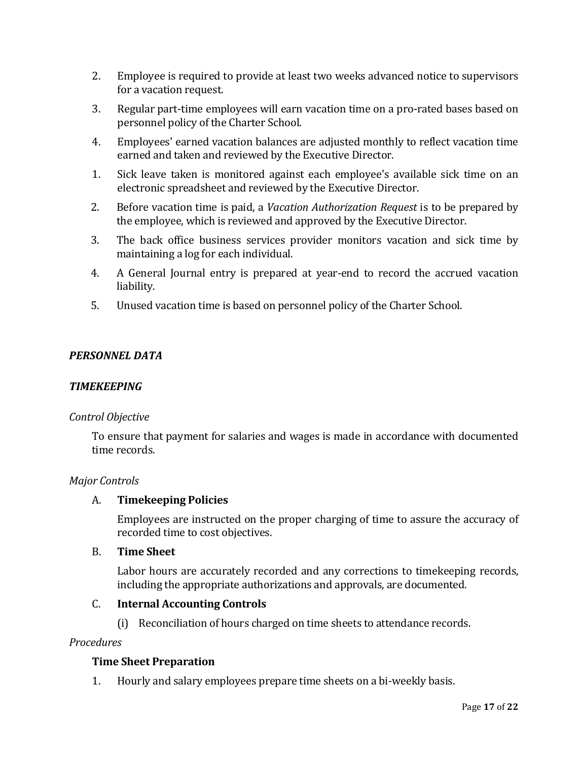- 2. Employee is required to provide at least two weeks advanced notice to supervisors for a vacation request.
- 3. Regular part-time employees will earn vacation time on a pro-rated bases based on personnel policy of the Charter School.
- 4. Employees' earned vacation balances are adjusted monthly to reflect vacation time earned and taken and reviewed by the Executive Director.
- 1. Sick leave taken is monitored against each employee's available sick time on an electronic spreadsheet and reviewed by the Executive Director.
- 2. Before vacation time is paid, a *Vacation Authorization Request* is to be prepared by the employee, which is reviewed and approved by the Executive Director.
- 3. The back office business services provider monitors vacation and sick time by maintaining a log for each individual.
- 4. A General Journal entry is prepared at year-end to record the accrued vacation liability.
- 5. Unused vacation time is based on personnel policy of the Charter School.

# *PERSONNEL DATA*

### *TIMEKEEPING*

### *Control Objective*

To ensure that payment for salaries and wages is made in accordance with documented time records.

### *Major Controls*

### A. **Timekeeping Policies**

Employees are instructed on the proper charging of time to assure the accuracy of recorded time to cost objectives.

# B. **Time Sheet**

Labor hours are accurately recorded and any corrections to timekeeping records, including the appropriate authorizations and approvals, are documented.

### C. **Internal Accounting Controls**

(i) Reconciliation of hours charged on time sheets to attendance records.

#### *Procedures*

### **Time Sheet Preparation**

1. Hourly and salary employees prepare time sheets on a bi-weekly basis.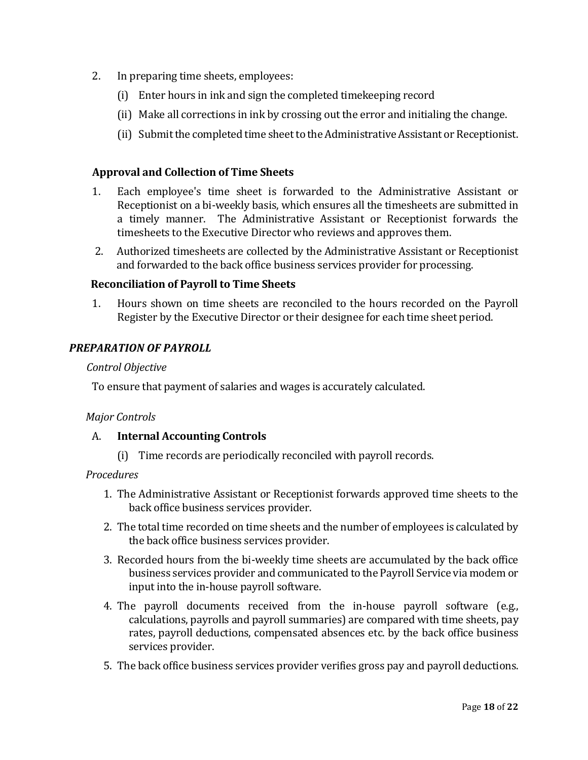- 2. In preparing time sheets, employees:
	- (i) Enter hours in ink and sign the completed timekeeping record
	- (ii) Make all corrections in ink by crossing out the error and initialing the change.
	- (ii) Submit the completed time sheet to the Administrative Assistant or Receptionist.

## **Approval and Collection of Time Sheets**

- 1. Each employee's time sheet is forwarded to the Administrative Assistant or Receptionist on a bi-weekly basis, which ensures all the timesheets are submitted in a timely manner. The Administrative Assistant or Receptionist forwards the timesheets to the Executive Director who reviews and approves them.
- 2. Authorized timesheets are collected by the Administrative Assistant or Receptionist and forwarded to the back office business services provider for processing.

# **Reconciliation of Payroll to Time Sheets**

1. Hours shown on time sheets are reconciled to the hours recorded on the Payroll Register by the Executive Director or their designee for each time sheet period.

# *PREPARATION OF PAYROLL*

### *Control Objective*

To ensure that payment of salaries and wages is accurately calculated.

### *Major Controls*

### A. **Internal Accounting Controls**

(i) Time records are periodically reconciled with payroll records.

### *Procedures*

- 1. The Administrative Assistant or Receptionist forwards approved time sheets to the back office business services provider.
- 2. The total time recorded on time sheets and the number of employees is calculated by the back office business services provider.
- 3. Recorded hours from the bi-weekly time sheets are accumulated by the back office business services provider and communicated to the Payroll Service via modem or input into the in-house payroll software.
- 4. The payroll documents received from the in-house payroll software (e.g., calculations, payrolls and payroll summaries) are compared with time sheets, pay rates, payroll deductions, compensated absences etc. by the back office business services provider.
- 5. The back office business services provider verifies gross pay and payroll deductions.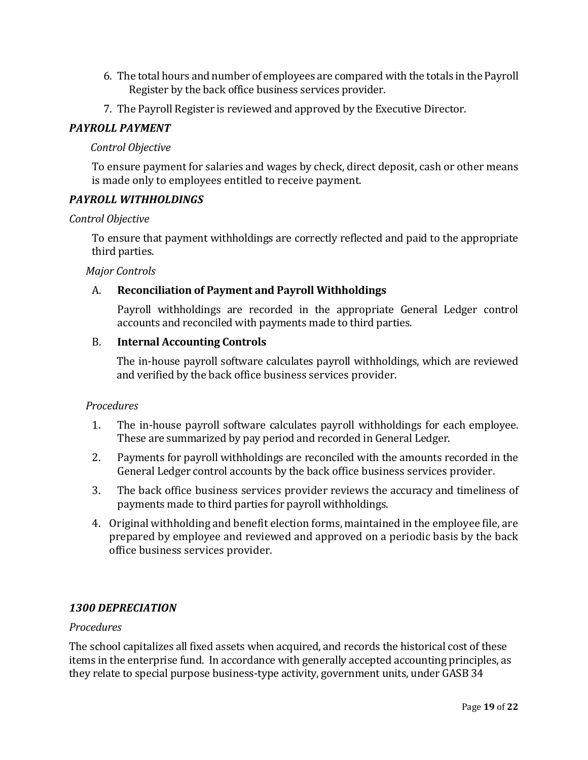- 6. The total hours and number of employees are compared with the totals in the Payroll Register by the back office business services provider.
- 7. The Payroll Register is reviewed and approved by the Executive Director.

# *PAYROLL PAYMENT*

# *Control Objective*

To ensure payment for salaries and wages by check, direct deposit, cash or other means is made only to employees entitled to receive payment.

# *PAYROLL WITHHOLDINGS*

### *Control Objective*

To ensure that payment withholdings are correctly reflected and paid to the appropriate third parties.

### *Major Controls*

# A. **Reconciliation of Payment and Payroll Withholdings**

Payroll withholdings are recorded in the appropriate General Ledger control accounts and reconciled with payments made to third parties.

# B. **Internal Accounting Controls**

The in-house payroll software calculates payroll withholdings, which are reviewed and verified by the back office business services provider.

### *Procedures*

- 1. The in-house payroll software calculates payroll withholdings for each employee. These are summarized by pay period and recorded in General Ledger.
- 2. Payments for payroll withholdings are reconciled with the amounts recorded in the General Ledger control accounts by the back office business services provider.
- 3. The back office business services provider reviews the accuracy and timeliness of payments made to third parties for payroll withholdings.
- 4. Original withholding and benefit election forms, maintained in the employee file, are prepared by employee and reviewed and approved on a periodic basis by the back office business services provider.

# *1300 DEPRECIATION*

### *Procedures*

The school capitalizes all fixed assets when acquired, and records the historical cost of these items in the enterprise fund. In accordance with generally accepted accounting principles, as they relate to special purpose business-type activity, government units, under GASB 34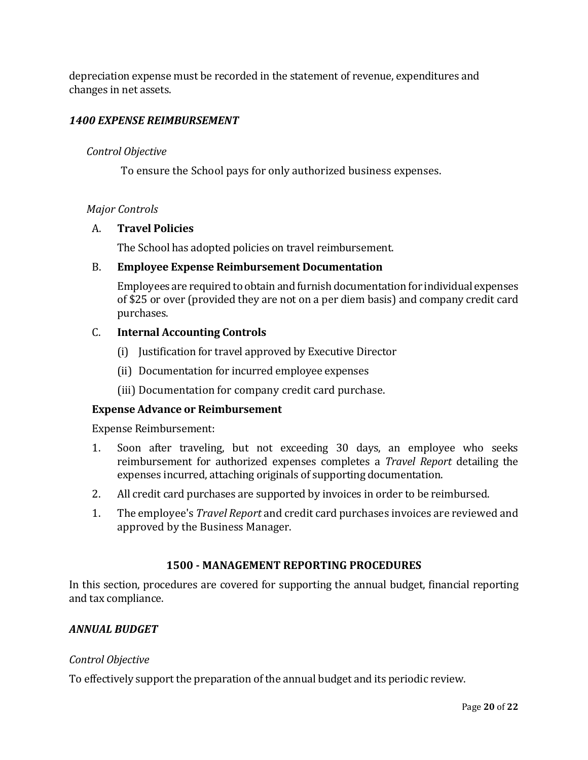depreciation expense must be recorded in the statement of revenue, expenditures and changes in net assets.

# *1400 EXPENSE REIMBURSEMENT*

#### *Control Objective*

To ensure the School pays for only authorized business expenses.

### *Major Controls*

#### A. **Travel Policies**

The School has adopted policies on travel reimbursement.

#### B. **Employee Expense Reimbursement Documentation**

Employees are required to obtain and furnish documentation for individual expenses of \$25 or over (provided they are not on a per diem basis) and company credit card purchases.

### C. **Internal Accounting Controls**

- (i) Justification for travel approved by Executive Director
- (ii) Documentation for incurred employee expenses
- (iii) Documentation for company credit card purchase.

### **Expense Advance or Reimbursement**

Expense Reimbursement:

- 1. Soon after traveling, but not exceeding 30 days, an employee who seeks reimbursement for authorized expenses completes a *Travel Report* detailing the expenses incurred, attaching originals of supporting documentation.
- 2. All credit card purchases are supported by invoices in order to be reimbursed.
- 1. The employee's *Travel Report* and credit card purchases invoices are reviewed and approved by the Business Manager.

### **1500 - MANAGEMENT REPORTING PROCEDURES**

In this section, procedures are covered for supporting the annual budget, financial reporting and tax compliance.

## *ANNUAL BUDGET*

### *Control Objective*

To effectively support the preparation of the annual budget and its periodic review.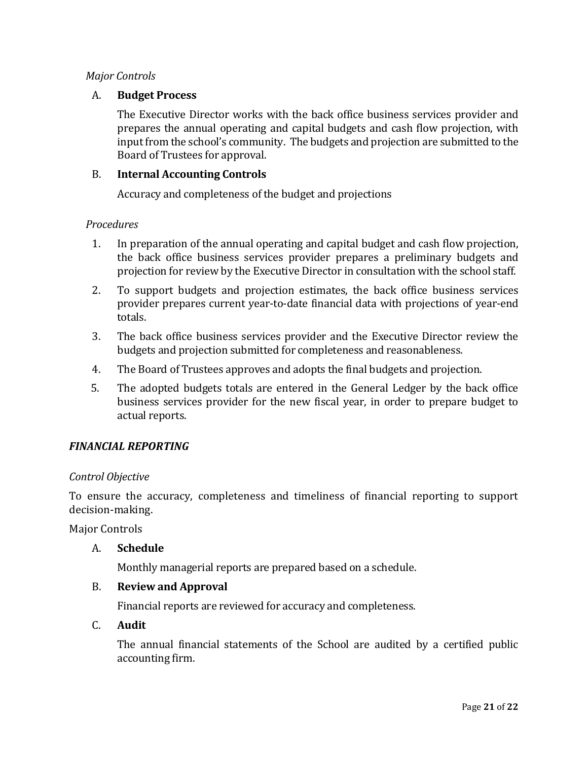# *Major Controls*

# A. **Budget Process**

The Executive Director works with the back office business services provider and prepares the annual operating and capital budgets and cash flow projection, with input from the school's community. The budgets and projection are submitted to the Board of Trustees for approval.

## B. **Internal Accounting Controls**

Accuracy and completeness of the budget and projections

# *Procedures*

- 1. In preparation of the annual operating and capital budget and cash flow projection, the back office business services provider prepares a preliminary budgets and projection for review by the Executive Director in consultation with the school staff.
- 2. To support budgets and projection estimates, the back office business services provider prepares current year-to-date financial data with projections of year-end totals.
- 3. The back office business services provider and the Executive Director review the budgets and projection submitted for completeness and reasonableness.
- 4. The Board of Trustees approves and adopts the final budgets and projection.
- 5. The adopted budgets totals are entered in the General Ledger by the back office business services provider for the new fiscal year, in order to prepare budget to actual reports.

# *FINANCIAL REPORTING*

### *Control Objective*

To ensure the accuracy, completeness and timeliness of financial reporting to support decision-making.

Major Controls

# A. **Schedule**

Monthly managerial reports are prepared based on a schedule.

# B. **Review and Approval**

Financial reports are reviewed for accuracy and completeness.

# C. **Audit**

The annual financial statements of the School are audited by a certified public accounting firm.